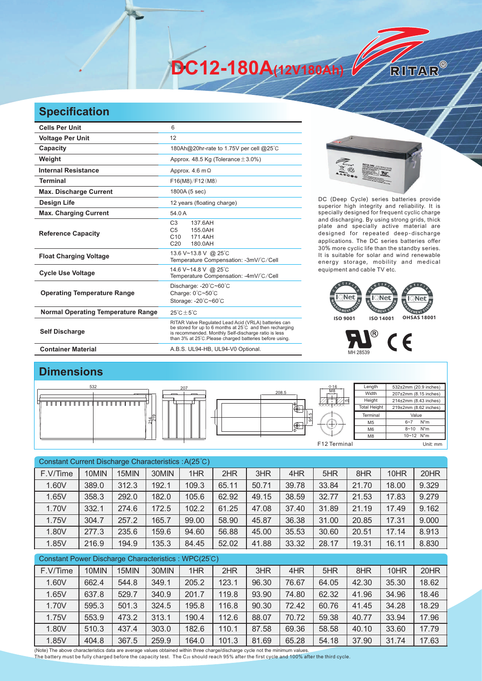**DC12-180A(12V180Ah)** 

## **Specification**

| <b>Cells Per Unit</b>                     | 6                                                                                                                                                                                                                                  |  |  |  |  |  |  |
|-------------------------------------------|------------------------------------------------------------------------------------------------------------------------------------------------------------------------------------------------------------------------------------|--|--|--|--|--|--|
| <b>Voltage Per Unit</b>                   | 12                                                                                                                                                                                                                                 |  |  |  |  |  |  |
| Capacity                                  | 180Ah@20hr-rate to 1.75V per cell @25°C                                                                                                                                                                                            |  |  |  |  |  |  |
| Weight                                    | Approx. 48.5 Kg (Tolerance $\pm$ 3.0%)                                                                                                                                                                                             |  |  |  |  |  |  |
| <b>Internal Resistance</b>                | Approx. $4.6 \text{ m}\Omega$                                                                                                                                                                                                      |  |  |  |  |  |  |
| <b>Terminal</b>                           | F16(M8)/F12(M8)                                                                                                                                                                                                                    |  |  |  |  |  |  |
| <b>Max. Discharge Current</b>             | 1800A (5 sec)                                                                                                                                                                                                                      |  |  |  |  |  |  |
| <b>Design Life</b>                        | 12 years (floating charge)                                                                                                                                                                                                         |  |  |  |  |  |  |
| <b>Max. Charging Current</b>              | 54.0 A                                                                                                                                                                                                                             |  |  |  |  |  |  |
| <b>Reference Capacity</b>                 | C <sub>3</sub><br>137 6AH<br>C <sub>5</sub><br>155.0AH<br>C <sub>10</sub><br>171.4AH<br>C <sub>20</sub><br>180.0AH                                                                                                                 |  |  |  |  |  |  |
| <b>Float Charging Voltage</b>             | 13.6 V~13.8 V @ 25°C<br>Temperature Compensation: -3mV/°C/Cell                                                                                                                                                                     |  |  |  |  |  |  |
| <b>Cycle Use Voltage</b>                  | 14.6 V~14.8 V @ 25°C<br>Temperature Compensation: -4mV/°C/Cell                                                                                                                                                                     |  |  |  |  |  |  |
| <b>Operating Temperature Range</b>        | Discharge: -20°C~60°C<br>Charge: 0°C~50°C<br>Storage: -20°C~60°C                                                                                                                                                                   |  |  |  |  |  |  |
| <b>Normal Operating Temperature Range</b> | $25^{\circ}$ C + 5 $^{\circ}$ C                                                                                                                                                                                                    |  |  |  |  |  |  |
| <b>Self Discharge</b>                     | RITAR Valve Regulated Lead Acid (VRLA) batteries can<br>be stored for up to 6 months at 25°C and then recharging<br>is recommended. Monthly Self-discharge ratio is less<br>than 3% at 25°C.Please charged batteries before using. |  |  |  |  |  |  |
| <b>Container Material</b>                 | A.B.S. UL94-HB, UL94-V0 Optional.                                                                                                                                                                                                  |  |  |  |  |  |  |



RITAR®

DC (Deep Cycle) series batteries provide superior high integrity and reliability. It is specially designed for frequent cyclic charge and discharging. By using strong grids, thick plate and specially active material are designed for repeated deep-discharge applications. The DC series batteries offer 30% more cyclic life than the standby series. It is suitable for solar and wind renewable energy storage, mobility and medical equipment and cable TV etc.





## **Dimensions**



|                                                     | Constant Current Discharge Characteristics: A(25°C) |        |       |                      |            |                      |                                                   |                      |           |                      |           |
|-----------------------------------------------------|-----------------------------------------------------|--------|-------|----------------------|------------|----------------------|---------------------------------------------------|----------------------|-----------|----------------------|-----------|
| F.V/Time                                            | 10MIN                                               | 15MIN  | 30MIN | 1HR                  | 2HR        | 3HR                  | 4HR                                               | 5HR                  | 8HR       | 10HR                 | 20HR      |
| 1.60V                                               | 389.0                                               | 312.3  | 192.1 | 109.3                | 65.11      | 50.71                | 39.78                                             | 33.84                | 21.70     | 18.00                | 9.329     |
| 1.65V                                               | 358.3                                               | 292.0  | 182.0 | 105.6                | 62.92      | 49.15                | 38.59                                             | 32.77                | 21.53     | 17.83                | 9.279     |
| 1.70V                                               | 332.1                                               | 274.6  | 172.5 | 102.2                | 61.25      | 47.08                | 37.40                                             | 31.89                | 21.19     | 17.49                | 9.162     |
| 1.75V                                               | 304.7                                               | 257.2  | 165.7 | 99.00                | 58.90      | 45.87                | 36.38                                             | 31.00                | 20.85     | 17.31                | 9.000     |
| 1.80V                                               | 277.3                                               | 235.6  | 159.6 | 94.60                | 56.88      | 45.00                | 35.53                                             | 30.60                | 20.51     | 17.14                | 8.913     |
| 1.85V                                               | 216.9                                               | 194.9  | 135.3 | 84.45                | 52.02      | 41.88                | 33.32                                             | 28.17                | 19.31     | 16.11                | 8.830     |
| Constant Power Discharge Characteristics: WPC(25°C) |                                                     |        |       |                      |            |                      |                                                   |                      |           |                      |           |
| F.V/Time                                            | 10MIN                                               | 15MIN  | 30MIN | 1HR                  | 2HR        | 3HR                  | 4HR                                               | 5HR                  | 8HR       | 10HR                 | 20HR      |
| $\lambda$ $\sim$ $\lambda$ $\lambda$                | $\sim$ $\sim$ $\sim$                                | $-110$ | 0.101 | $\sim$ $\sim$ $\sim$ | $\sqrt{2}$ | $\sim$ $\sim$ $\sim$ | $\overline{\phantom{a}}$ $\overline{\phantom{a}}$ | $\sim$ $\sim$ $\sim$ | $\sim$ 00 | $\sim$ $\sim$ $\sim$ | $\sim$ 00 |

| F.V/IIIIE | <b>IUIVIIIN</b> | <b>FUIVIU</b> | <b>DUIVIIIV</b> | INN   | ZON   | J⊓⊓   | $4\Box$ | OΠΠ   | O <sub>TH</sub> | חטוו  | ZUNN  |
|-----------|-----------------|---------------|-----------------|-------|-------|-------|---------|-------|-----------------|-------|-------|
| 1.60V     | 662.4           | 544.8         | 349.1           | 205.2 | 123.1 | 96.30 | 76.67   | 64.05 | 42.30           | 35.30 | 18.62 |
| 1.65V     | 637.8           | 529.7         | 340.9           | 201.7 | 119.8 | 93.90 | 74.80   | 62.32 | 41.96           | 34.96 | 18.46 |
| 1.70V     | 595.3           | 501.3         | 324.5           | 195.8 | 116.8 | 90.30 | 72.42   | 60.76 | 41.45           | 34.28 | 18.29 |
| 1.75V     | 553.9           | 473.2         | 313.1           | 190.4 | 112.6 | 88.07 | 70.72   | 59.38 | 40.77           | 33.94 | 17.96 |
| 1.80V     | 510.3           | 437.4         | 303.0           | 182.6 | 110.1 | 87.58 | 69.36   | 58.58 | 40.10           | 33.60 | 17.79 |
| 1.85V     | 404.8           | 367.5         | 259.9           | 164.0 | 101.3 | 81.69 | 65.28   | 54.18 | 37.90           | 31.74 | 17.63 |

(Note) The above characteristics data are average values obtained within three charge/discharge cycle not the minimum values.<br>The battery must be fully charged before the capacity test. The C20 should reach 95% after the